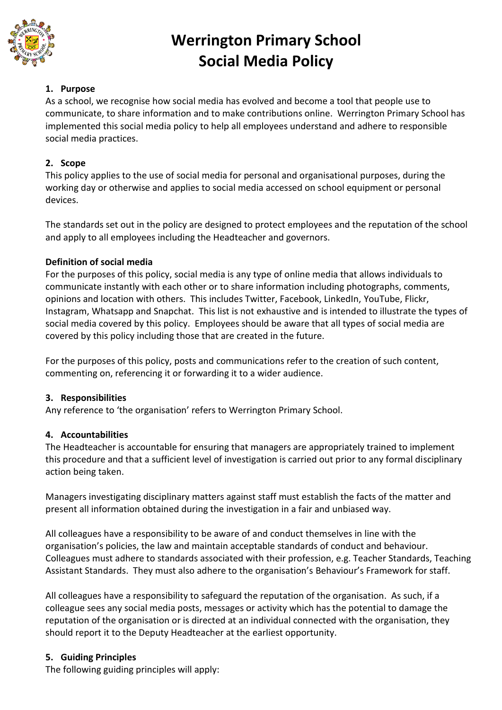

# **Werrington Primary School Social Media Policy**

# **1. Purpose**

As a school, we recognise how social media has evolved and become a tool that people use to communicate, to share information and to make contributions online. Werrington Primary School has implemented this social media policy to help all employees understand and adhere to responsible social media practices.

# **2. Scope**

This policy applies to the use of social media for personal and organisational purposes, during the working day or otherwise and applies to social media accessed on school equipment or personal devices.

The standards set out in the policy are designed to protect employees and the reputation of the school and apply to all employees including the Headteacher and governors.

# **Definition of social media**

For the purposes of this policy, social media is any type of online media that allows individuals to communicate instantly with each other or to share information including photographs, comments, opinions and location with others. This includes Twitter, Facebook, LinkedIn, YouTube, Flickr, Instagram, Whatsapp and Snapchat. This list is not exhaustive and is intended to illustrate the types of social media covered by this policy. Employees should be aware that all types of social media are covered by this policy including those that are created in the future.

For the purposes of this policy, posts and communications refer to the creation of such content, commenting on, referencing it or forwarding it to a wider audience.

## **3. Responsibilities**

Any reference to 'the organisation' refers to Werrington Primary School.

# **4. Accountabilities**

The Headteacher is accountable for ensuring that managers are appropriately trained to implement this procedure and that a sufficient level of investigation is carried out prior to any formal disciplinary action being taken.

Managers investigating disciplinary matters against staff must establish the facts of the matter and present all information obtained during the investigation in a fair and unbiased way.

All colleagues have a responsibility to be aware of and conduct themselves in line with the organisation's policies, the law and maintain acceptable standards of conduct and behaviour. Colleagues must adhere to standards associated with their profession, e.g. Teacher Standards, Teaching Assistant Standards. They must also adhere to the organisation's Behaviour's Framework for staff.

All colleagues have a responsibility to safeguard the reputation of the organisation. As such, if a colleague sees any social media posts, messages or activity which has the potential to damage the reputation of the organisation or is directed at an individual connected with the organisation, they should report it to the Deputy Headteacher at the earliest opportunity.

# **5. Guiding Principles**

The following guiding principles will apply: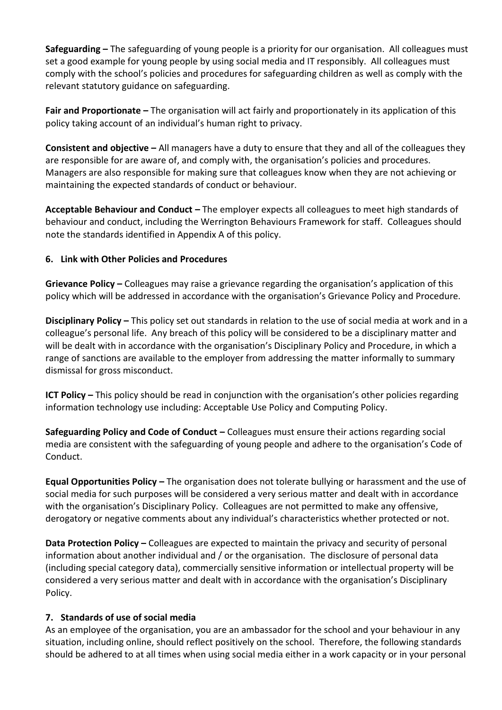**Safeguarding –** The safeguarding of young people is a priority for our organisation. All colleagues must set a good example for young people by using social media and IT responsibly. All colleagues must comply with the school's policies and procedures for safeguarding children as well as comply with the relevant statutory guidance on safeguarding.

**Fair and Proportionate –** The organisation will act fairly and proportionately in its application of this policy taking account of an individual's human right to privacy.

**Consistent and objective –** All managers have a duty to ensure that they and all of the colleagues they are responsible for are aware of, and comply with, the organisation's policies and procedures. Managers are also responsible for making sure that colleagues know when they are not achieving or maintaining the expected standards of conduct or behaviour.

**Acceptable Behaviour and Conduct –** The employer expects all colleagues to meet high standards of behaviour and conduct, including the Werrington Behaviours Framework for staff. Colleagues should note the standards identified in Appendix A of this policy.

## **6. Link with Other Policies and Procedures**

**Grievance Policy –** Colleagues may raise a grievance regarding the organisation's application of this policy which will be addressed in accordance with the organisation's Grievance Policy and Procedure.

**Disciplinary Policy –** This policy set out standards in relation to the use of social media at work and in a colleague's personal life. Any breach of this policy will be considered to be a disciplinary matter and will be dealt with in accordance with the organisation's Disciplinary Policy and Procedure, in which a range of sanctions are available to the employer from addressing the matter informally to summary dismissal for gross misconduct.

**ICT Policy –** This policy should be read in conjunction with the organisation's other policies regarding information technology use including: Acceptable Use Policy and Computing Policy.

**Safeguarding Policy and Code of Conduct –** Colleagues must ensure their actions regarding social media are consistent with the safeguarding of young people and adhere to the organisation's Code of Conduct.

**Equal Opportunities Policy –** The organisation does not tolerate bullying or harassment and the use of social media for such purposes will be considered a very serious matter and dealt with in accordance with the organisation's Disciplinary Policy. Colleagues are not permitted to make any offensive, derogatory or negative comments about any individual's characteristics whether protected or not.

**Data Protection Policy – Colleagues are expected to maintain the privacy and security of personal** information about another individual and / or the organisation. The disclosure of personal data (including special category data), commercially sensitive information or intellectual property will be considered a very serious matter and dealt with in accordance with the organisation's Disciplinary Policy.

#### **7. Standards of use of social media**

As an employee of the organisation, you are an ambassador for the school and your behaviour in any situation, including online, should reflect positively on the school. Therefore, the following standards should be adhered to at all times when using social media either in a work capacity or in your personal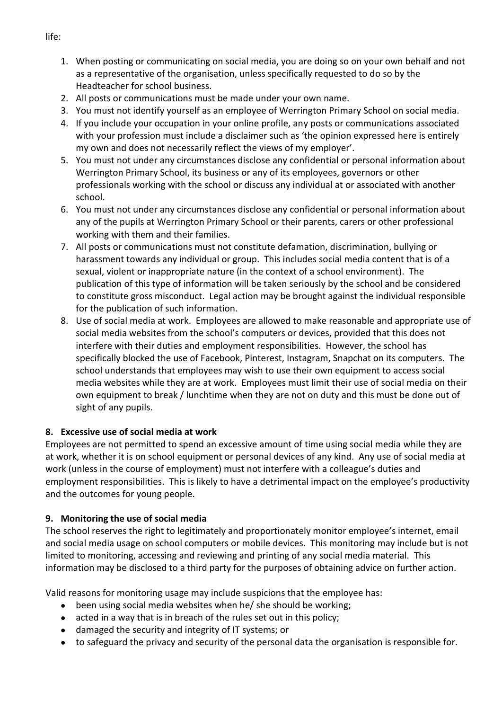- 1. When posting or communicating on social media, you are doing so on your own behalf and not as a representative of the organisation, unless specifically requested to do so by the Headteacher for school business.
- 2. All posts or communications must be made under your own name.
- 3. You must not identify yourself as an employee of Werrington Primary School on social media.
- 4. If you include your occupation in your online profile, any posts or communications associated with your profession must include a disclaimer such as 'the opinion expressed here is entirely my own and does not necessarily reflect the views of my employer'.
- 5. You must not under any circumstances disclose any confidential or personal information about Werrington Primary School, its business or any of its employees, governors or other professionals working with the school or discuss any individual at or associated with another school.
- 6. You must not under any circumstances disclose any confidential or personal information about any of the pupils at Werrington Primary School or their parents, carers or other professional working with them and their families.
- 7. All posts or communications must not constitute defamation, discrimination, bullying or harassment towards any individual or group. This includes social media content that is of a sexual, violent or inappropriate nature (in the context of a school environment). The publication of this type of information will be taken seriously by the school and be considered to constitute gross misconduct. Legal action may be brought against the individual responsible for the publication of such information.
- 8. Use of social media at work. Employees are allowed to make reasonable and appropriate use of social media websites from the school's computers or devices, provided that this does not interfere with their duties and employment responsibilities. However, the school has specifically blocked the use of Facebook, Pinterest, Instagram, Snapchat on its computers. The school understands that employees may wish to use their own equipment to access social media websites while they are at work. Employees must limit their use of social media on their own equipment to break / lunchtime when they are not on duty and this must be done out of sight of any pupils.

## **8. Excessive use of social media at work**

Employees are not permitted to spend an excessive amount of time using social media while they are at work, whether it is on school equipment or personal devices of any kind. Any use of social media at work (unless in the course of employment) must not interfere with a colleague's duties and employment responsibilities. This is likely to have a detrimental impact on the employee's productivity and the outcomes for young people.

## **9. Monitoring the use of social media**

The school reserves the right to legitimately and proportionately monitor employee's internet, email and social media usage on school computers or mobile devices. This monitoring may include but is not limited to monitoring, accessing and reviewing and printing of any social media material. This information may be disclosed to a third party for the purposes of obtaining advice on further action.

Valid reasons for monitoring usage may include suspicions that the employee has:

- been using social media websites when he/ she should be working;
- acted in a way that is in breach of the rules set out in this policy;
- damaged the security and integrity of IT systems; or
- to safeguard the privacy and security of the personal data the organisation is responsible for.

life: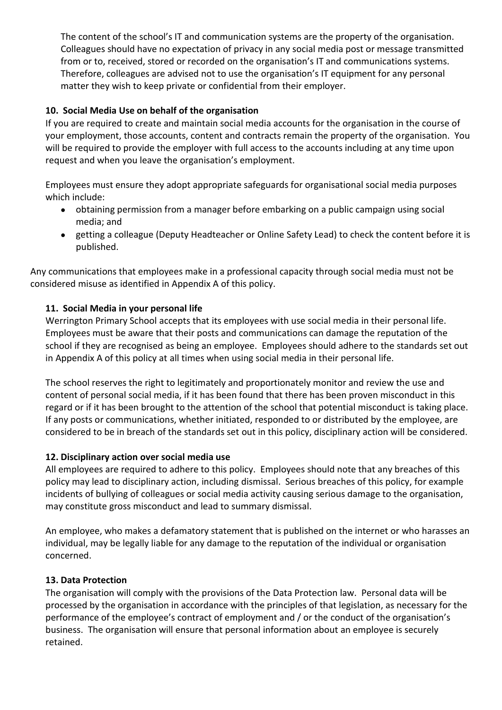The content of the school's IT and communication systems are the property of the organisation. Colleagues should have no expectation of privacy in any social media post or message transmitted from or to, received, stored or recorded on the organisation's IT and communications systems. Therefore, colleagues are advised not to use the organisation's IT equipment for any personal matter they wish to keep private or confidential from their employer.

# **10. Social Media Use on behalf of the organisation**

If you are required to create and maintain social media accounts for the organisation in the course of your employment, those accounts, content and contracts remain the property of the organisation. You will be required to provide the employer with full access to the accounts including at any time upon request and when you leave the organisation's employment.

Employees must ensure they adopt appropriate safeguards for organisational social media purposes which include:

- obtaining permission from a manager before embarking on a public campaign using social media; and
- getting a colleague (Deputy Headteacher or Online Safety Lead) to check the content before it is published.

Any communications that employees make in a professional capacity through social media must not be considered misuse as identified in Appendix A of this policy.

## **11. Social Media in your personal life**

Werrington Primary School accepts that its employees with use social media in their personal life. Employees must be aware that their posts and communications can damage the reputation of the school if they are recognised as being an employee. Employees should adhere to the standards set out in Appendix A of this policy at all times when using social media in their personal life.

The school reserves the right to legitimately and proportionately monitor and review the use and content of personal social media, if it has been found that there has been proven misconduct in this regard or if it has been brought to the attention of the school that potential misconduct is taking place. If any posts or communications, whether initiated, responded to or distributed by the employee, are considered to be in breach of the standards set out in this policy, disciplinary action will be considered.

## **12. Disciplinary action over social media use**

All employees are required to adhere to this policy. Employees should note that any breaches of this policy may lead to disciplinary action, including dismissal. Serious breaches of this policy, for example incidents of bullying of colleagues or social media activity causing serious damage to the organisation, may constitute gross misconduct and lead to summary dismissal.

An employee, who makes a defamatory statement that is published on the internet or who harasses an individual, may be legally liable for any damage to the reputation of the individual or organisation concerned.

## **13. Data Protection**

The organisation will comply with the provisions of the Data Protection law. Personal data will be processed by the organisation in accordance with the principles of that legislation, as necessary for the performance of the employee's contract of employment and / or the conduct of the organisation's business. The organisation will ensure that personal information about an employee is securely retained.